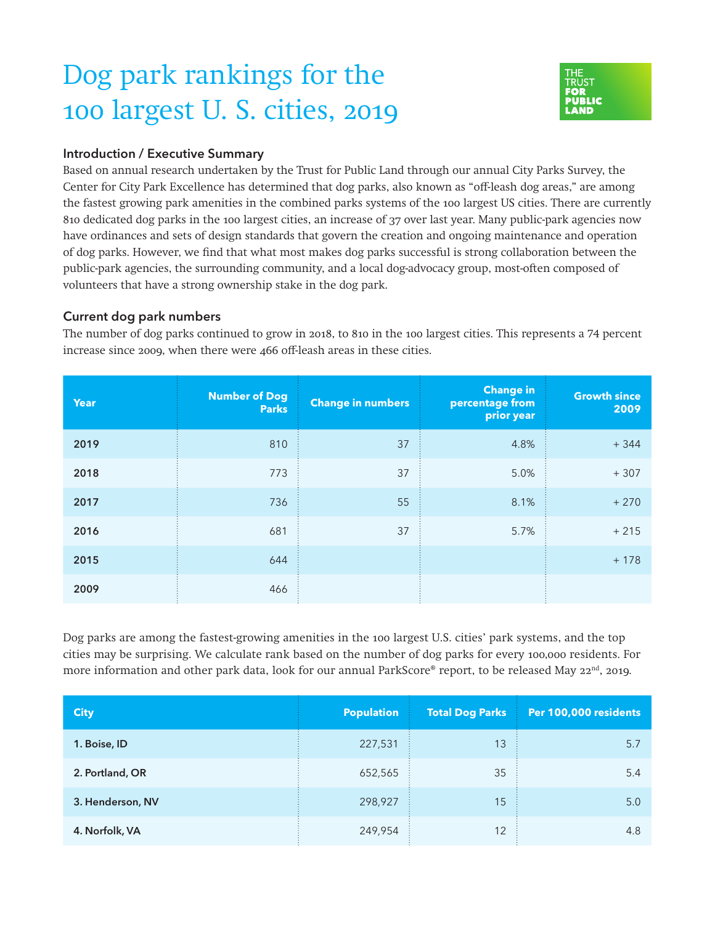## Dog park rankings for the 100 largest U. S. cities, 2019



## Introduction / Executive Summary

Based on annual research undertaken by the Trust for Public Land through our annual City Parks Survey, the Center for City Park Excellence has determined that dog parks, also known as "off-leash dog areas," are among the fastest growing park amenities in the combined parks systems of the 100 largest US cities. There are currently 810 dedicated dog parks in the 100 largest cities, an increase of 37 over last year. Many public-park agencies now have ordinances and sets of design standards that govern the creation and ongoing maintenance and operation of dog parks. However, we find that what most makes dog parks successful is strong collaboration between the public-park agencies, the surrounding community, and a local dog-advocacy group, most-often composed of volunteers that have a strong ownership stake in the dog park.

## Current dog park numbers

The number of dog parks continued to grow in 2018, to 810 in the 100 largest cities. This represents a 74 percent increase since 2009, when there were 466 off-leash areas in these cities.

| <b>Year</b> | <b>Number of Dog</b><br><b>Parks</b> | <b>Change in numbers</b> | <b>Change in</b><br>percentage from<br>prior year | <b>Growth since</b><br>2009 |
|-------------|--------------------------------------|--------------------------|---------------------------------------------------|-----------------------------|
| 2019        | 810                                  | 37                       | 4.8%                                              | $+344$                      |
| 2018        | 773                                  | 37                       | 5.0%                                              | $+307$                      |
| 2017        | 736                                  | 55                       | 8.1%                                              | $+270$                      |
| 2016        | 681                                  | 37                       | 5.7%                                              | $+215$                      |
| 2015        | 644                                  |                          |                                                   | $+178$                      |
| 2009        | 466                                  |                          |                                                   |                             |

Dog parks are among the fastest-growing amenities in the 100 largest U.S. cities' park systems, and the top cities may be surprising. We calculate rank based on the number of dog parks for every 100,000 residents. For more information and other park data, look for our annual ParkScore® report, to be released May 22<sup>nd</sup>, 2019.

| <b>City</b>      | <b>Population</b> | <b>Total Dog Parks</b> | Per 100,000 residents |
|------------------|-------------------|------------------------|-----------------------|
| 1. Boise, ID     | 227,531           | 13                     | 5.7                   |
| 2. Portland, OR  | 652,565           | 35                     | 5.4                   |
| 3. Henderson, NV | 298,927           | 15                     | 5.0                   |
| 4. Norfolk, VA   | 249,954           | 12                     | 4.8                   |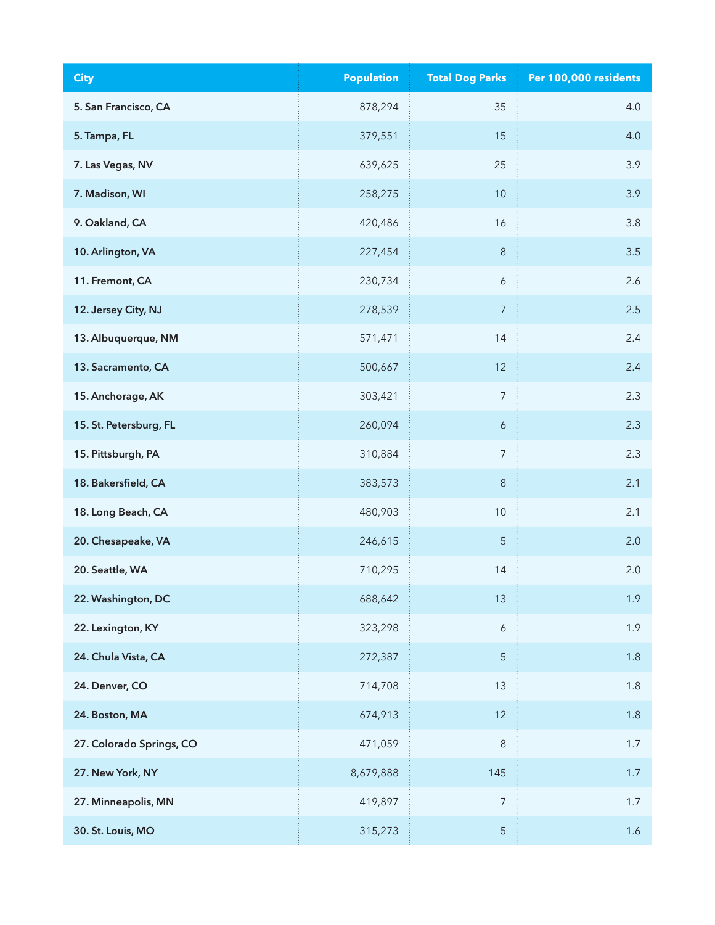| <b>City</b>              | <b>Population</b> | <b>Total Dog Parks</b> | Per 100,000 residents |
|--------------------------|-------------------|------------------------|-----------------------|
| 5. San Francisco, CA     | 878,294           | 35                     | 4.0                   |
| 5. Tampa, FL             | 379,551           | 15                     | 4.0                   |
| 7. Las Vegas, NV         | 639,625           | 25                     | 3.9                   |
| 7. Madison, WI           | 258,275           | $10$                   | 3.9                   |
| 9. Oakland, CA           | 420,486           | 16                     | 3.8                   |
| 10. Arlington, VA        | 227,454           | $\,8\,$                | 3.5                   |
| 11. Fremont, CA          | 230,734           | $\boldsymbol{6}$       | 2.6                   |
| 12. Jersey City, NJ      | 278,539           | $\overline{7}$         | 2.5                   |
| 13. Albuquerque, NM      | 571,471           | 14                     | 2.4                   |
| 13. Sacramento, CA       | 500,667           | 12                     | 2.4                   |
| 15. Anchorage, AK        | 303,421           | $\overline{7}$         | 2.3                   |
| 15. St. Petersburg, FL   | 260,094           | $\boldsymbol{6}$       | 2.3                   |
| 15. Pittsburgh, PA       | 310,884           | $\overline{7}$         | 2.3                   |
| 18. Bakersfield, CA      | 383,573           | $\,8\,$                | 2.1                   |
| 18. Long Beach, CA       | 480,903           | $10$                   | 2.1                   |
| 20. Chesapeake, VA       | 246,615           | $\sqrt{5}$             | 2.0                   |
| 20. Seattle, WA          | 710,295           | 14                     | 2.0                   |
| 22. Washington, DC       | 688,642           | 13                     | 1.9                   |
| 22. Lexington, KY        | 323,298           | $\boldsymbol{6}$       | 1.9                   |
| 24. Chula Vista, CA      | 272,387           | $\sqrt{5}$             | 1.8                   |
| 24. Denver, CO           | 714,708           | 13                     | 1.8                   |
| 24. Boston, MA           | 674,913           | 12                     | 1.8                   |
| 27. Colorado Springs, CO | 471,059           | $\,8\,$                | 1.7                   |
| 27. New York, NY         | 8,679,888         | 145                    | 1.7                   |
| 27. Minneapolis, MN      | 419,897           | $\boldsymbol{7}$       | 1.7                   |
| 30. St. Louis, MO        | 315,273           | 5                      | 1.6                   |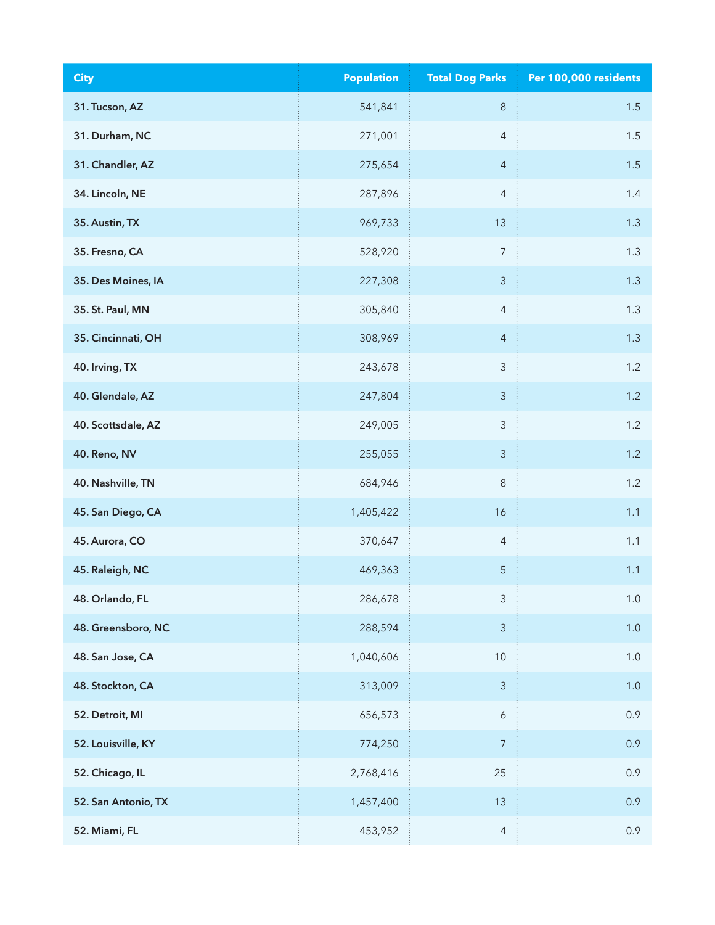| <b>City</b>         | <b>Population</b> | <b>Total Dog Parks</b> | Per 100,000 residents |
|---------------------|-------------------|------------------------|-----------------------|
| 31. Tucson, AZ      | 541,841           | $\,8\,$                | 1.5                   |
| 31. Durham, NC      | 271,001           | $\overline{4}$         | $1.5\,$               |
| 31. Chandler, AZ    | 275,654           | $\overline{4}$         | 1.5                   |
| 34. Lincoln, NE     | 287,896           | $\overline{4}$         | 1.4                   |
| 35. Austin, TX      | 969,733           | 13                     | 1.3                   |
| 35. Fresno, CA      | 528,920           | $\overline{7}$         | 1.3                   |
| 35. Des Moines, IA  | 227,308           | $\mathsf 3$            | 1.3                   |
| 35. St. Paul, MN    | 305,840           | $\overline{4}$         | 1.3                   |
| 35. Cincinnati, OH  | 308,969           | $\overline{4}$         | 1.3                   |
| 40. Irving, TX      | 243,678           | $\mathsf 3$            | 1.2                   |
| 40. Glendale, AZ    | 247,804           | $\mathfrak{Z}$         | 1.2                   |
| 40. Scottsdale, AZ  | 249,005           | 3                      | 1.2                   |
| 40. Reno, NV        | 255,055           | $\mathfrak{Z}$         | 1.2                   |
| 40. Nashville, TN   | 684,946           | $\,8\,$                | 1.2                   |
| 45. San Diego, CA   | 1,405,422         | 16                     | 1.1                   |
| 45. Aurora, CO      | 370,647           | $\overline{4}$         | 1.1                   |
| 45. Raleigh, NC     | 469,363           | $\sqrt{5}$             | 1.1                   |
| 48. Orlando, FL     | 286,678           | $\mathsf 3$            | $1.0\,$               |
| 48. Greensboro, NC  | 288,594           | $\mathfrak{Z}$         | 1.0                   |
| 48. San Jose, CA    | 1,040,606         | 10                     | $1.0$                 |
| 48. Stockton, CA    | 313,009           | $\mathfrak{Z}$         | 1.0                   |
| 52. Detroit, MI     | 656,573           | $\boldsymbol{6}$       | 0.9                   |
| 52. Louisville, KY  | 774,250           | $\overline{7}$         | 0.9                   |
| 52. Chicago, IL     | 2,768,416         | 25                     | 0.9                   |
| 52. San Antonio, TX | 1,457,400         | 13                     | 0.9                   |
| 52. Miami, FL       | 453,952           | $\overline{4}$         | 0.9                   |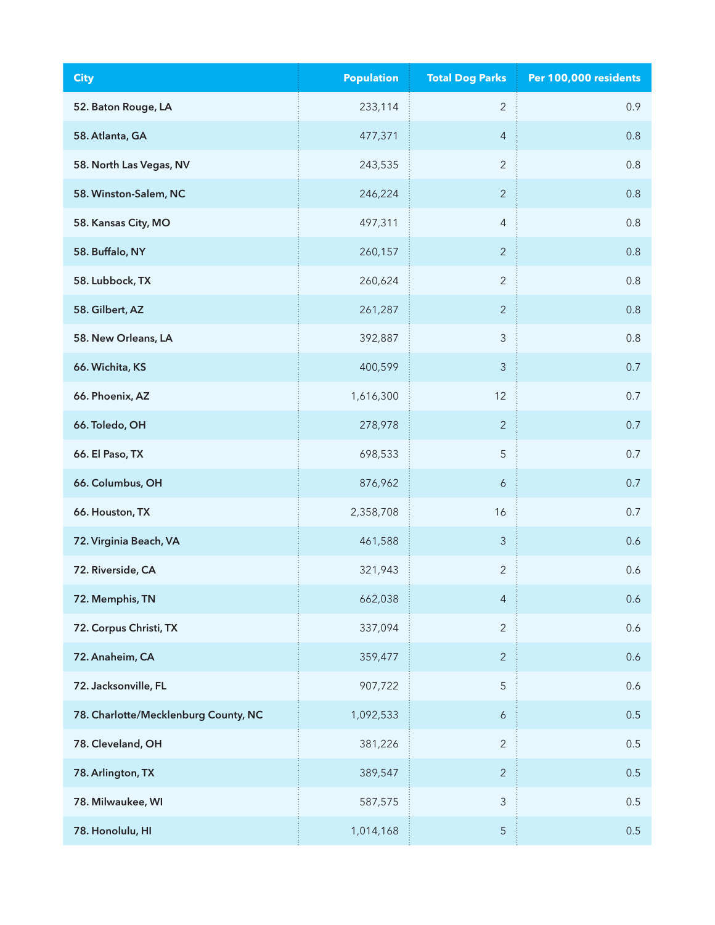| <b>City</b>                          | <b>Population</b> | <b>Total Dog Parks</b>    | Per 100,000 residents |
|--------------------------------------|-------------------|---------------------------|-----------------------|
| 52. Baton Rouge, LA                  | 233,114           | $\overline{2}$            | 0.9                   |
| 58. Atlanta, GA                      | 477,371           | $\overline{4}$            | 0.8                   |
| 58. North Las Vegas, NV              | 243,535           | $\overline{2}$            | 0.8                   |
| 58. Winston-Salem, NC                | 246,224           | $\overline{2}$            | 0.8                   |
| 58. Kansas City, MO                  | 497,311           | $\sqrt{4}$                | 0.8                   |
| 58. Buffalo, NY                      | 260,157           | $\overline{2}$            | 0.8                   |
| 58. Lubbock, TX                      | 260,624           | $\sqrt{2}$                | 0.8                   |
| 58. Gilbert, AZ                      | 261,287           | $\overline{2}$            | 0.8                   |
| 58. New Orleans, LA                  | 392,887           | $\ensuremath{\mathsf{3}}$ | 0.8                   |
| 66. Wichita, KS                      | 400,599           | $\mathsf 3$               | 0.7                   |
| 66. Phoenix, AZ                      | 1,616,300         | 12                        | 0.7                   |
| 66. Toledo, OH                       | 278,978           | $\overline{2}$            | 0.7                   |
| 66. El Paso, TX                      | 698,533           | 5                         | 0.7                   |
| 66. Columbus, OH                     | 876,962           | $\boldsymbol{6}$          | 0.7                   |
| 66. Houston, TX                      | 2,358,708         | 16                        | 0.7                   |
| 72. Virginia Beach, VA               | 461,588           | $\mathfrak{Z}$            | 0.6                   |
| 72. Riverside, CA                    | 321,943           | $\sqrt{2}$                | 0.6                   |
| 72. Memphis, TN                      | 662,038           | $\overline{4}$            | 0.6                   |
| 72. Corpus Christi, TX               | 337,094           | $\overline{2}$            | 0.6                   |
| 72. Anaheim, CA                      | 359,477           | $\overline{2}$            | 0.6                   |
| 72. Jacksonville, FL                 | 907,722           | 5                         | 0.6                   |
| 78. Charlotte/Mecklenburg County, NC | 1,092,533         | $\boldsymbol{6}$          | 0.5                   |
| 78. Cleveland, OH                    | 381,226           | $\overline{2}$            | 0.5                   |
| 78. Arlington, TX                    | 389,547           | $\overline{2}$            | 0.5                   |
| 78. Milwaukee, WI                    | 587,575           | $\ensuremath{\mathsf{3}}$ | 0.5                   |
| 78. Honolulu, HI                     | 1,014,168         | 5                         | 0.5                   |